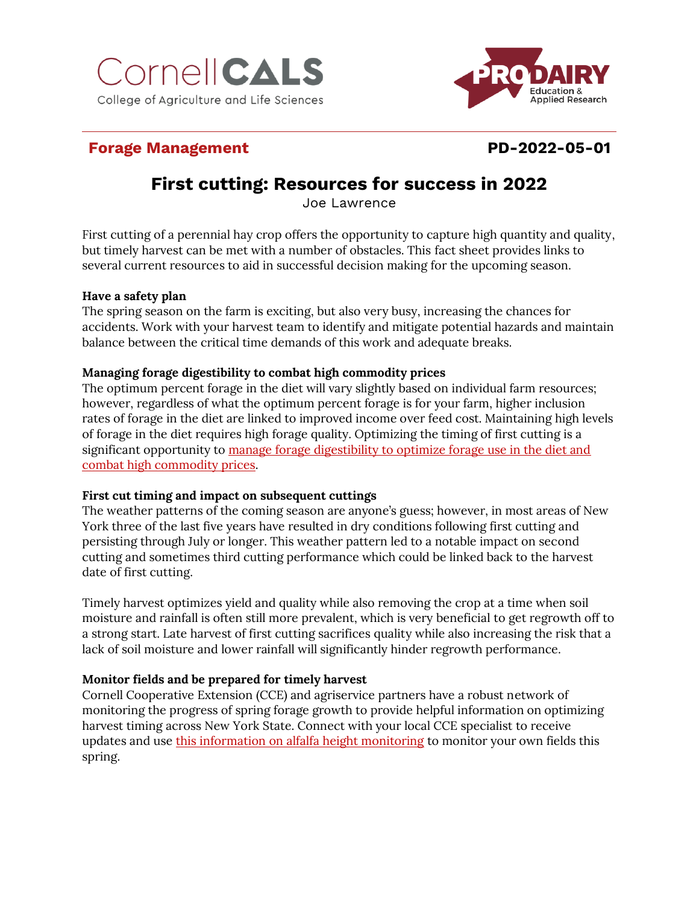



# **Forage Management PD-2022-05-01**

# **First cutting: Resources for success in 2022**

Joe Lawrence

First cutting of a perennial hay crop offers the opportunity to capture high quantity and quality, but timely harvest can be met with a number of obstacles. This fact sheet provides links to several current resources to aid in successful decision making for the upcoming season.

#### **Have a safety plan**

The spring season on the farm is exciting, but also very busy, increasing the chances for accidents. Work with your harvest team to identify and mitigate potential hazards and maintain balance between the critical time demands of this work and adequate breaks.

#### **Managing forage digestibility to combat high commodity prices**

The optimum percent forage in the diet will vary slightly based on individual farm resources; however, regardless of what the optimum percent forage is for your farm, higher inclusion rates of forage in the diet are linked to improved income over feed cost. Maintaining high levels of forage in the diet requires high forage quality. Optimizing the timing of first cutting is a significant opportunity to [manage forage digestibility to optimize forage use in the diet and](https://blogs.cornell.edu/whatscroppingup/2021/04/07/managing-forage-digestibility-to-combat-high-commodity-prices/)  [combat high commodity prices.](https://blogs.cornell.edu/whatscroppingup/2021/04/07/managing-forage-digestibility-to-combat-high-commodity-prices/)

## **First cut timing and impact on subsequent cuttings**

The weather patterns of the coming season are anyone's guess; however, in most areas of New York three of the last five years have resulted in dry conditions following first cutting and persisting through July or longer. This weather pattern led to a notable impact on second cutting and sometimes third cutting performance which could be linked back to the harvest date of first cutting.

Timely harvest optimizes yield and quality while also removing the crop at a time when soil moisture and rainfall is often still more prevalent, which is very beneficial to get regrowth off to a strong start. Late harvest of first cutting sacrifices quality while also increasing the risk that a lack of soil moisture and lower rainfall will significantly hinder regrowth performance.

## **Monitor fields and be prepared for timely harvest**

Cornell Cooperative Extension (CCE) and agriservice partners have a robust network of monitoring the progress of spring forage growth to provide helpful information on optimizing harvest timing across New York State. Connect with your local CCE specialist to receive updates and use [this information on alfalfa height monitoring](https://ecommons.cornell.edu/handle/1813/67000) to monitor your own fields this spring.